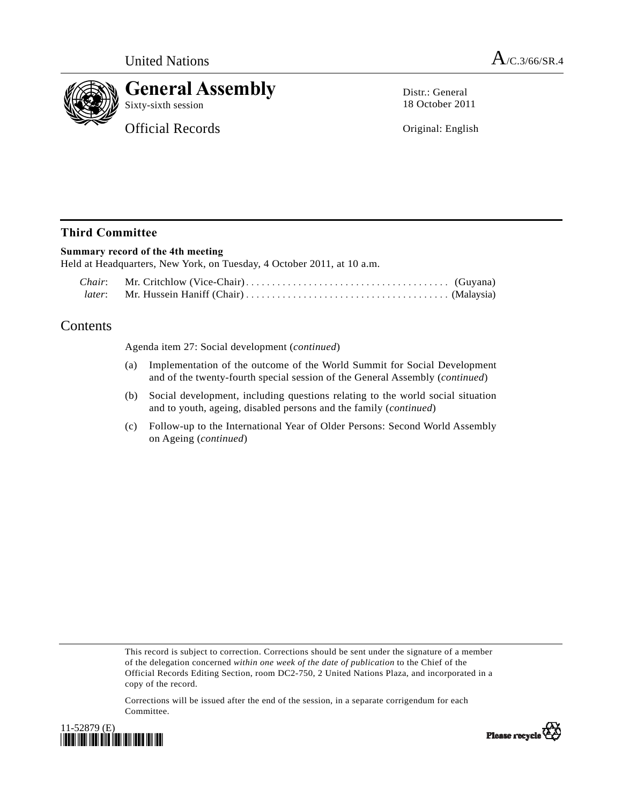

# **General Assembly**

Sixty-sixth session

Official Records

Distr.: General 18 October 2011

Original: English

## **Third Committee**

### **Summary record of the 4th meeting**

Held at Headquarters, New York, on Tuesday, 4 October 2011, at 10 a.m.

## Contents

Agenda item 27: Social development (*continued*)

- (a) Implementation of the outcome of the World Summit for Social Development and of the twenty-fourth special session of the General Assembly (*continued*)
- (b) Social development, including questions relating to the world social situation and to youth, ageing, disabled persons and the family (*continued*)
- (c) Follow-up to the International Year of Older Persons: Second World Assembly on Ageing (*continued*)

This record is subject to correction. Corrections should be sent under the signature of a member of the delegation concerned *within one week of the date of publication* to the Chief of the Official Records Editing Section, room DC2-750, 2 United Nations Plaza, and incorporated in a copy of the record.

Corrections will be issued after the end of the session, in a separate corrigendum for each Committee.



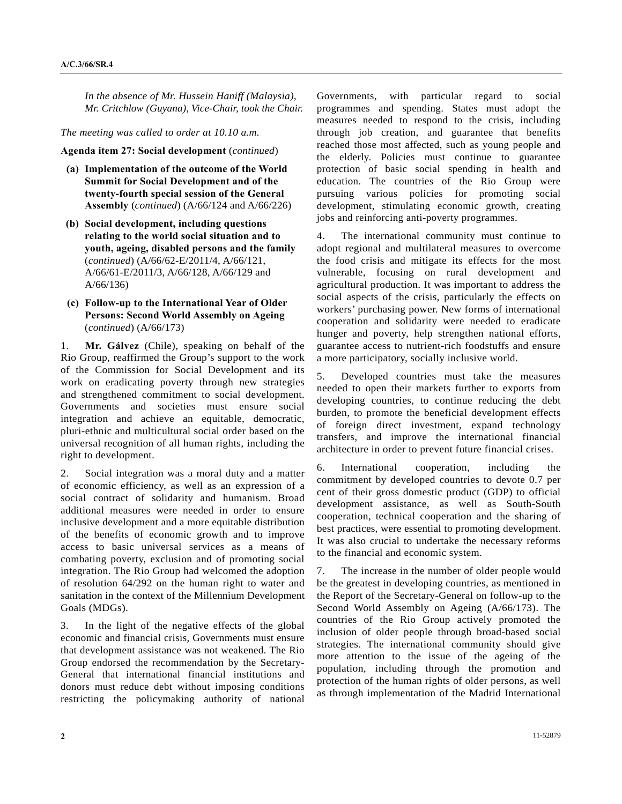*In the absence of Mr. Hussein Haniff (Malaysia), Mr. Critchlow (Guyana), Vice-Chair, took the Chair.* 

*The meeting was called to order at 10.10 a.m.* 

#### **Agenda item 27: Social development** (*continued*)

- **(a) Implementation of the outcome of the World Summit for Social Development and of the twenty-fourth special session of the General Assembly** (*continued*) (A/66/124 and A/66/226)
- **(b) Social development, including questions relating to the world social situation and to youth, ageing, disabled persons and the family**  (*continued*) (A/66/62-E/2011/4, A/66/121, A/66/61-E/2011/3, A/66/128, A/66/129 and A/66/136)
- **(c) Follow-up to the International Year of Older Persons: Second World Assembly on Ageing**  (*continued*) (A/66/173)

1. **Mr. Gálvez** (Chile), speaking on behalf of the Rio Group, reaffirmed the Group's support to the work of the Commission for Social Development and its work on eradicating poverty through new strategies and strengthened commitment to social development. Governments and societies must ensure social integration and achieve an equitable, democratic, pluri-ethnic and multicultural social order based on the universal recognition of all human rights, including the right to development.

2. Social integration was a moral duty and a matter of economic efficiency, as well as an expression of a social contract of solidarity and humanism. Broad additional measures were needed in order to ensure inclusive development and a more equitable distribution of the benefits of economic growth and to improve access to basic universal services as a means of combating poverty, exclusion and of promoting social integration. The Rio Group had welcomed the adoption of resolution 64/292 on the human right to water and sanitation in the context of the Millennium Development Goals (MDGs).

3. In the light of the negative effects of the global economic and financial crisis, Governments must ensure that development assistance was not weakened. The Rio Group endorsed the recommendation by the Secretary-General that international financial institutions and donors must reduce debt without imposing conditions restricting the policymaking authority of national

Governments, with particular regard to social programmes and spending. States must adopt the measures needed to respond to the crisis, including through job creation, and guarantee that benefits reached those most affected, such as young people and the elderly. Policies must continue to guarantee protection of basic social spending in health and education. The countries of the Rio Group were pursuing various policies for promoting social development, stimulating economic growth, creating jobs and reinforcing anti-poverty programmes.

4. The international community must continue to adopt regional and multilateral measures to overcome the food crisis and mitigate its effects for the most vulnerable, focusing on rural development and agricultural production. It was important to address the social aspects of the crisis, particularly the effects on workers' purchasing power. New forms of international cooperation and solidarity were needed to eradicate hunger and poverty, help strengthen national efforts, guarantee access to nutrient-rich foodstuffs and ensure a more participatory, socially inclusive world.

5. Developed countries must take the measures needed to open their markets further to exports from developing countries, to continue reducing the debt burden, to promote the beneficial development effects of foreign direct investment, expand technology transfers, and improve the international financial architecture in order to prevent future financial crises.

6. International cooperation, including the commitment by developed countries to devote 0.7 per cent of their gross domestic product (GDP) to official development assistance, as well as South-South cooperation, technical cooperation and the sharing of best practices, were essential to promoting development. It was also crucial to undertake the necessary reforms to the financial and economic system.

7. The increase in the number of older people would be the greatest in developing countries, as mentioned in the Report of the Secretary-General on follow-up to the Second World Assembly on Ageing (A/66/173). The countries of the Rio Group actively promoted the inclusion of older people through broad-based social strategies. The international community should give more attention to the issue of the ageing of the population, including through the promotion and protection of the human rights of older persons, as well as through implementation of the Madrid International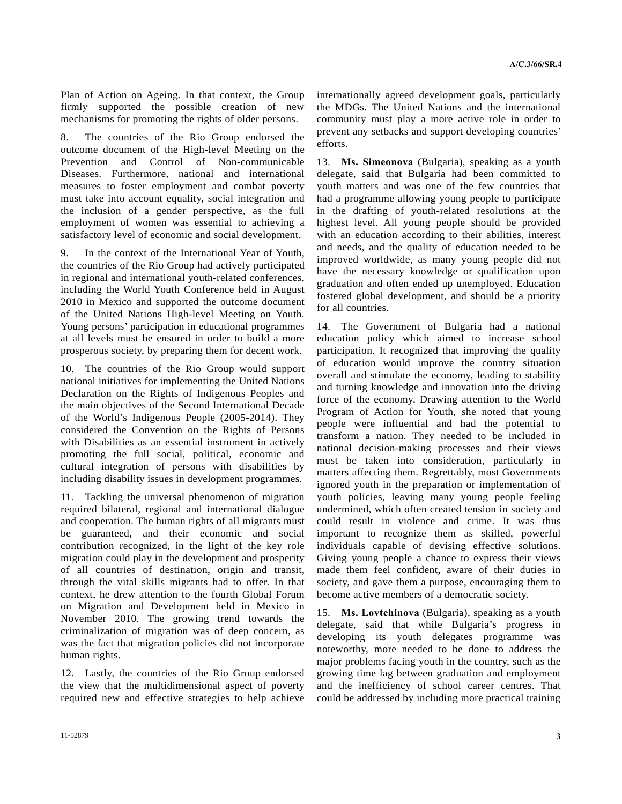Plan of Action on Ageing. In that context, the Group firmly supported the possible creation of new mechanisms for promoting the rights of older persons.

8. The countries of the Rio Group endorsed the outcome document of the High-level Meeting on the Prevention and Control of Non-communicable Diseases. Furthermore, national and international measures to foster employment and combat poverty must take into account equality, social integration and the inclusion of a gender perspective, as the full employment of women was essential to achieving a satisfactory level of economic and social development.

9. In the context of the International Year of Youth, the countries of the Rio Group had actively participated in regional and international youth-related conferences, including the World Youth Conference held in August 2010 in Mexico and supported the outcome document of the United Nations High-level Meeting on Youth. Young persons' participation in educational programmes at all levels must be ensured in order to build a more prosperous society, by preparing them for decent work.

10. The countries of the Rio Group would support national initiatives for implementing the United Nations Declaration on the Rights of Indigenous Peoples and the main objectives of the Second International Decade of the World's Indigenous People (2005-2014). They considered the Convention on the Rights of Persons with Disabilities as an essential instrument in actively promoting the full social, political, economic and cultural integration of persons with disabilities by including disability issues in development programmes.

11. Tackling the universal phenomenon of migration required bilateral, regional and international dialogue and cooperation. The human rights of all migrants must be guaranteed, and their economic and social contribution recognized, in the light of the key role migration could play in the development and prosperity of all countries of destination, origin and transit, through the vital skills migrants had to offer. In that context, he drew attention to the fourth Global Forum on Migration and Development held in Mexico in November 2010. The growing trend towards the criminalization of migration was of deep concern, as was the fact that migration policies did not incorporate human rights.

12. Lastly, the countries of the Rio Group endorsed the view that the multidimensional aspect of poverty required new and effective strategies to help achieve

13. **Ms. Simeonova** (Bulgaria), speaking as a youth delegate, said that Bulgaria had been committed to youth matters and was one of the few countries that had a programme allowing young people to participate in the drafting of youth-related resolutions at the highest level. All young people should be provided with an education according to their abilities, interest and needs, and the quality of education needed to be improved worldwide, as many young people did not have the necessary knowledge or qualification upon graduation and often ended up unemployed. Education fostered global development, and should be a priority for all countries.

14. The Government of Bulgaria had a national education policy which aimed to increase school participation. It recognized that improving the quality of education would improve the country situation overall and stimulate the economy, leading to stability and turning knowledge and innovation into the driving force of the economy. Drawing attention to the World Program of Action for Youth, she noted that young people were influential and had the potential to transform a nation. They needed to be included in national decision-making processes and their views must be taken into consideration, particularly in matters affecting them. Regrettably, most Governments ignored youth in the preparation or implementation of youth policies, leaving many young people feeling undermined, which often created tension in society and could result in violence and crime. It was thus important to recognize them as skilled, powerful individuals capable of devising effective solutions. Giving young people a chance to express their views made them feel confident, aware of their duties in society, and gave them a purpose, encouraging them to become active members of a democratic society.

15. **Ms. Lovtchinova** (Bulgaria), speaking as a youth delegate, said that while Bulgaria's progress in developing its youth delegates programme was noteworthy, more needed to be done to address the major problems facing youth in the country, such as the growing time lag between graduation and employment and the inefficiency of school career centres. That could be addressed by including more practical training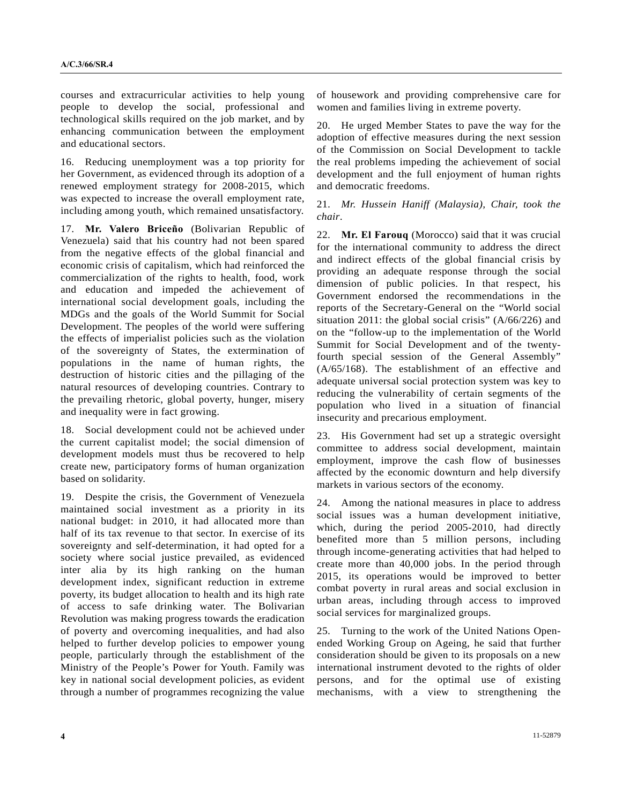courses and extracurricular activities to help young people to develop the social, professional and technological skills required on the job market, and by enhancing communication between the employment and educational sectors.

16. Reducing unemployment was a top priority for her Government, as evidenced through its adoption of a renewed employment strategy for 2008-2015, which was expected to increase the overall employment rate, including among youth, which remained unsatisfactory.

17. **Mr. Valero Briceño** (Bolivarian Republic of Venezuela) said that his country had not been spared from the negative effects of the global financial and economic crisis of capitalism, which had reinforced the commercialization of the rights to health, food, work and education and impeded the achievement of international social development goals, including the MDGs and the goals of the World Summit for Social Development. The peoples of the world were suffering the effects of imperialist policies such as the violation of the sovereignty of States, the extermination of populations in the name of human rights, the destruction of historic cities and the pillaging of the natural resources of developing countries. Contrary to the prevailing rhetoric, global poverty, hunger, misery and inequality were in fact growing.

18. Social development could not be achieved under the current capitalist model; the social dimension of development models must thus be recovered to help create new, participatory forms of human organization based on solidarity.

19. Despite the crisis, the Government of Venezuela maintained social investment as a priority in its national budget: in 2010, it had allocated more than half of its tax revenue to that sector. In exercise of its sovereignty and self-determination, it had opted for a society where social justice prevailed, as evidenced inter alia by its high ranking on the human development index, significant reduction in extreme poverty, its budget allocation to health and its high rate of access to safe drinking water. The Bolivarian Revolution was making progress towards the eradication of poverty and overcoming inequalities, and had also helped to further develop policies to empower young people, particularly through the establishment of the Ministry of the People's Power for Youth. Family was key in national social development policies, as evident through a number of programmes recognizing the value

of housework and providing comprehensive care for women and families living in extreme poverty.

20. He urged Member States to pave the way for the adoption of effective measures during the next session of the Commission on Social Development to tackle the real problems impeding the achievement of social development and the full enjoyment of human rights and democratic freedoms.

21. *Mr. Hussein Haniff (Malaysia), Chair, took the chair*.

22. **Mr. El Farouq** (Morocco) said that it was crucial for the international community to address the direct and indirect effects of the global financial crisis by providing an adequate response through the social dimension of public policies. In that respect, his Government endorsed the recommendations in the reports of the Secretary-General on the "World social situation 2011: the global social crisis" (A/66/226) and on the "follow-up to the implementation of the World Summit for Social Development and of the twentyfourth special session of the General Assembly" (A/65/168). The establishment of an effective and adequate universal social protection system was key to reducing the vulnerability of certain segments of the population who lived in a situation of financial insecurity and precarious employment.

23. His Government had set up a strategic oversight committee to address social development, maintain employment, improve the cash flow of businesses affected by the economic downturn and help diversify markets in various sectors of the economy.

24. Among the national measures in place to address social issues was a human development initiative, which, during the period 2005-2010, had directly benefited more than 5 million persons, including through income-generating activities that had helped to create more than 40,000 jobs. In the period through 2015, its operations would be improved to better combat poverty in rural areas and social exclusion in urban areas, including through access to improved social services for marginalized groups.

25. Turning to the work of the United Nations Openended Working Group on Ageing, he said that further consideration should be given to its proposals on a new international instrument devoted to the rights of older persons, and for the optimal use of existing mechanisms, with a view to strengthening the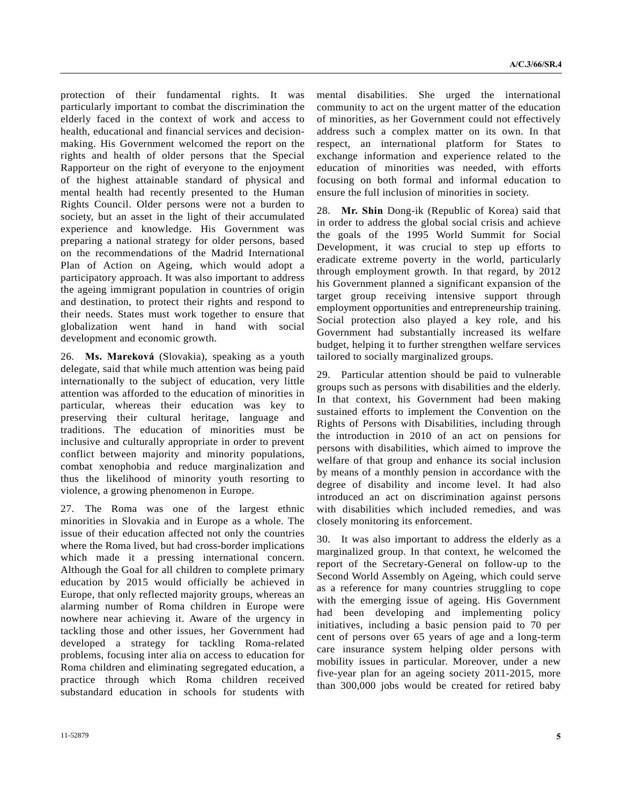protection of their fundamental rights. It was particularly important to combat the discrimination the elderly faced in the context of work and access to health, educational and financial services and decisionmaking. His Government welcomed the report on the rights and health of older persons that the Special Rapporteur on the right of everyone to the enjoyment of the highest attainable standard of physical and mental health had recently presented to the Human Rights Council. Older persons were not a burden to society, but an asset in the light of their accumulated experience and knowledge. His Government was preparing a national strategy for older persons, based on the recommendations of the Madrid International Plan of Action on Ageing, which would adopt a participatory approach. It was also important to address the ageing immigrant population in countries of origin and destination, to protect their rights and respond to their needs. States must work together to ensure that globalization went hand in hand with social development and economic growth.

26. **Ms. Mareková** (Slovakia), speaking as a youth delegate, said that while much attention was being paid internationally to the subject of education, very little attention was afforded to the education of minorities in particular, whereas their education was key to preserving their cultural heritage, language and traditions. The education of minorities must be inclusive and culturally appropriate in order to prevent conflict between majority and minority populations, combat xenophobia and reduce marginalization and thus the likelihood of minority youth resorting to violence, a growing phenomenon in Europe.

27. The Roma was one of the largest ethnic minorities in Slovakia and in Europe as a whole. The issue of their education affected not only the countries where the Roma lived, but had cross-border implications which made it a pressing international concern. Although the Goal for all children to complete primary education by 2015 would officially be achieved in Europe, that only reflected majority groups, whereas an alarming number of Roma children in Europe were nowhere near achieving it. Aware of the urgency in tackling those and other issues, her Government had developed a strategy for tackling Roma-related problems, focusing inter alia on access to education for Roma children and eliminating segregated education, a practice through which Roma children received substandard education in schools for students with

mental disabilities. She urged the international community to act on the urgent matter of the education of minorities, as her Government could not effectively address such a complex matter on its own. In that respect, an international platform for States to exchange information and experience related to the education of minorities was needed, with efforts focusing on both formal and informal education to ensure the full inclusion of minorities in society.

28. **Mr. Shin** Dong-ik (Republic of Korea) said that in order to address the global social crisis and achieve the goals of the 1995 World Summit for Social Development, it was crucial to step up efforts to eradicate extreme poverty in the world, particularly through employment growth. In that regard, by 2012 his Government planned a significant expansion of the target group receiving intensive support through employment opportunities and entrepreneurship training. Social protection also played a key role, and his Government had substantially increased its welfare budget, helping it to further strengthen welfare services tailored to socially marginalized groups.

29. Particular attention should be paid to vulnerable groups such as persons with disabilities and the elderly. In that context, his Government had been making sustained efforts to implement the Convention on the Rights of Persons with Disabilities, including through the introduction in 2010 of an act on pensions for persons with disabilities, which aimed to improve the welfare of that group and enhance its social inclusion by means of a monthly pension in accordance with the degree of disability and income level. It had also introduced an act on discrimination against persons with disabilities which included remedies, and was closely monitoring its enforcement.

30. It was also important to address the elderly as a marginalized group. In that context, he welcomed the report of the Secretary-General on follow-up to the Second World Assembly on Ageing, which could serve as a reference for many countries struggling to cope with the emerging issue of ageing. His Government had been developing and implementing policy initiatives, including a basic pension paid to 70 per cent of persons over 65 years of age and a long-term care insurance system helping older persons with mobility issues in particular. Moreover, under a new five-year plan for an ageing society 2011-2015, more than 300,000 jobs would be created for retired baby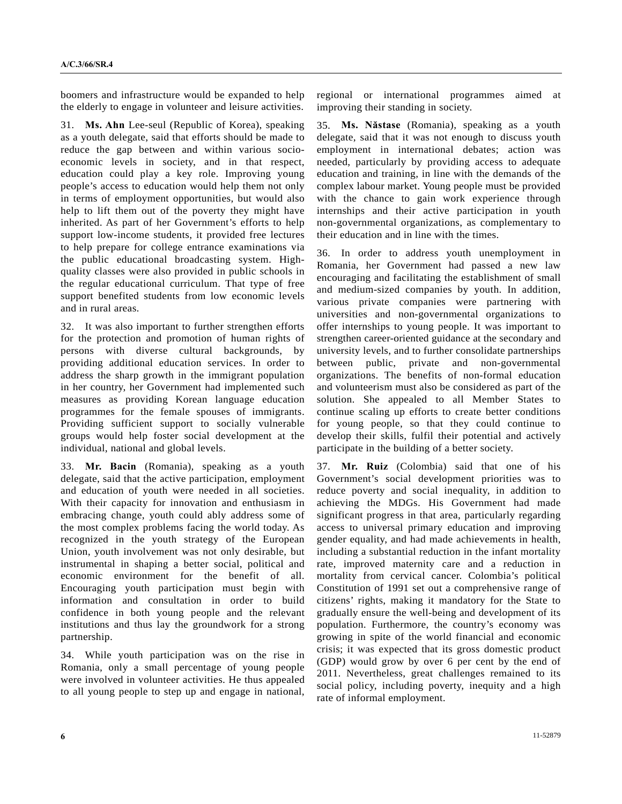boomers and infrastructure would be expanded to help the elderly to engage in volunteer and leisure activities.

31. **Ms. Ahn** Lee-seul (Republic of Korea), speaking as a youth delegate, said that efforts should be made to reduce the gap between and within various socioeconomic levels in society, and in that respect, education could play a key role. Improving young people's access to education would help them not only in terms of employment opportunities, but would also help to lift them out of the poverty they might have inherited. As part of her Government's efforts to help support low-income students, it provided free lectures to help prepare for college entrance examinations via the public educational broadcasting system. Highquality classes were also provided in public schools in the regular educational curriculum. That type of free support benefited students from low economic levels and in rural areas.

32. It was also important to further strengthen efforts for the protection and promotion of human rights of persons with diverse cultural backgrounds, by providing additional education services. In order to address the sharp growth in the immigrant population in her country, her Government had implemented such measures as providing Korean language education programmes for the female spouses of immigrants. Providing sufficient support to socially vulnerable groups would help foster social development at the individual, national and global levels.

33. **Mr. Bacin** (Romania), speaking as a youth delegate, said that the active participation, employment and education of youth were needed in all societies. With their capacity for innovation and enthusiasm in embracing change, youth could ably address some of the most complex problems facing the world today. As recognized in the youth strategy of the European Union, youth involvement was not only desirable, but instrumental in shaping a better social, political and economic environment for the benefit of all. Encouraging youth participation must begin with information and consultation in order to build confidence in both young people and the relevant institutions and thus lay the groundwork for a strong partnership.

34. While youth participation was on the rise in Romania, only a small percentage of young people were involved in volunteer activities. He thus appealed to all young people to step up and engage in national, regional or international programmes aimed at improving their standing in society.

35. **Ms. Năstase** (Romania), speaking as a youth delegate, said that it was not enough to discuss youth employment in international debates; action was needed, particularly by providing access to adequate education and training, in line with the demands of the complex labour market. Young people must be provided with the chance to gain work experience through internships and their active participation in youth non-governmental organizations, as complementary to their education and in line with the times.

36. In order to address youth unemployment in Romania, her Government had passed a new law encouraging and facilitating the establishment of small and medium-sized companies by youth. In addition, various private companies were partnering with universities and non-governmental organizations to offer internships to young people. It was important to strengthen career-oriented guidance at the secondary and university levels, and to further consolidate partnerships between public, private and non-governmental organizations. The benefits of non-formal education and volunteerism must also be considered as part of the solution. She appealed to all Member States to continue scaling up efforts to create better conditions for young people, so that they could continue to develop their skills, fulfil their potential and actively participate in the building of a better society.

37. **Mr. Ruiz** (Colombia) said that one of his Government's social development priorities was to reduce poverty and social inequality, in addition to achieving the MDGs. His Government had made significant progress in that area, particularly regarding access to universal primary education and improving gender equality, and had made achievements in health, including a substantial reduction in the infant mortality rate, improved maternity care and a reduction in mortality from cervical cancer. Colombia's political Constitution of 1991 set out a comprehensive range of citizens' rights, making it mandatory for the State to gradually ensure the well-being and development of its population. Furthermore, the country's economy was growing in spite of the world financial and economic crisis; it was expected that its gross domestic product (GDP) would grow by over 6 per cent by the end of 2011. Nevertheless, great challenges remained to its social policy, including poverty, inequity and a high rate of informal employment.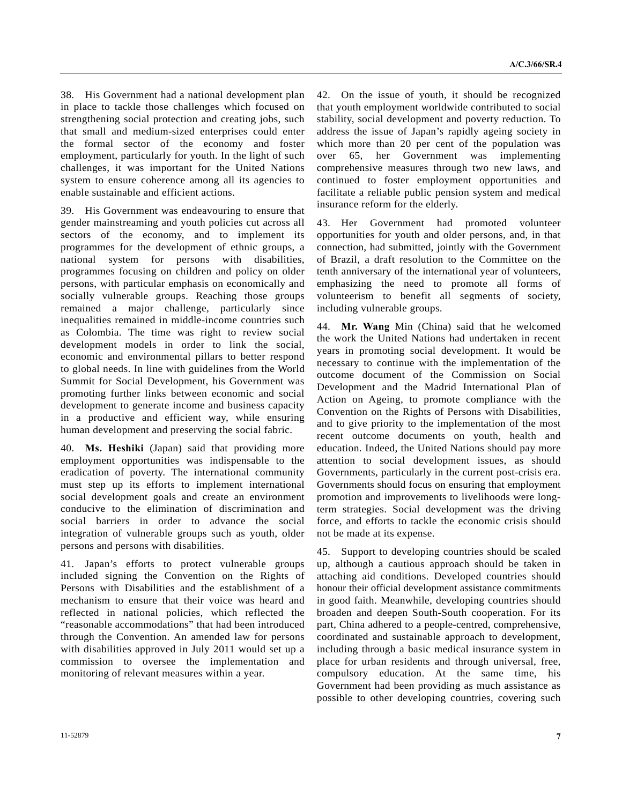38. His Government had a national development plan in place to tackle those challenges which focused on strengthening social protection and creating jobs, such that small and medium-sized enterprises could enter the formal sector of the economy and foster employment, particularly for youth. In the light of such challenges, it was important for the United Nations system to ensure coherence among all its agencies to enable sustainable and efficient actions.

39. His Government was endeavouring to ensure that gender mainstreaming and youth policies cut across all sectors of the economy, and to implement its programmes for the development of ethnic groups, a national system for persons with disabilities, programmes focusing on children and policy on older persons, with particular emphasis on economically and socially vulnerable groups. Reaching those groups remained a major challenge, particularly since inequalities remained in middle-income countries such as Colombia. The time was right to review social development models in order to link the social, economic and environmental pillars to better respond to global needs. In line with guidelines from the World Summit for Social Development, his Government was promoting further links between economic and social development to generate income and business capacity in a productive and efficient way, while ensuring human development and preserving the social fabric.

40. **Ms. Heshiki** (Japan) said that providing more employment opportunities was indispensable to the eradication of poverty. The international community must step up its efforts to implement international social development goals and create an environment conducive to the elimination of discrimination and social barriers in order to advance the social integration of vulnerable groups such as youth, older persons and persons with disabilities.

41. Japan's efforts to protect vulnerable groups included signing the Convention on the Rights of Persons with Disabilities and the establishment of a mechanism to ensure that their voice was heard and reflected in national policies, which reflected the "reasonable accommodations" that had been introduced through the Convention. An amended law for persons with disabilities approved in July 2011 would set up a commission to oversee the implementation and monitoring of relevant measures within a year.

42. On the issue of youth, it should be recognized that youth employment worldwide contributed to social stability, social development and poverty reduction. To address the issue of Japan's rapidly ageing society in which more than 20 per cent of the population was over 65, her Government was implementing comprehensive measures through two new laws, and continued to foster employment opportunities and facilitate a reliable public pension system and medical insurance reform for the elderly.

43. Her Government had promoted volunteer opportunities for youth and older persons, and, in that connection, had submitted, jointly with the Government of Brazil, a draft resolution to the Committee on the tenth anniversary of the international year of volunteers, emphasizing the need to promote all forms of volunteerism to benefit all segments of society, including vulnerable groups.

44. **Mr. Wang** Min (China) said that he welcomed the work the United Nations had undertaken in recent years in promoting social development. It would be necessary to continue with the implementation of the outcome document of the Commission on Social Development and the Madrid International Plan of Action on Ageing, to promote compliance with the Convention on the Rights of Persons with Disabilities, and to give priority to the implementation of the most recent outcome documents on youth, health and education. Indeed, the United Nations should pay more attention to social development issues, as should Governments, particularly in the current post-crisis era. Governments should focus on ensuring that employment promotion and improvements to livelihoods were longterm strategies. Social development was the driving force, and efforts to tackle the economic crisis should not be made at its expense.

45. Support to developing countries should be scaled up, although a cautious approach should be taken in attaching aid conditions. Developed countries should honour their official development assistance commitments in good faith. Meanwhile, developing countries should broaden and deepen South-South cooperation. For its part, China adhered to a people-centred, comprehensive, coordinated and sustainable approach to development, including through a basic medical insurance system in place for urban residents and through universal, free, compulsory education. At the same time, his Government had been providing as much assistance as possible to other developing countries, covering such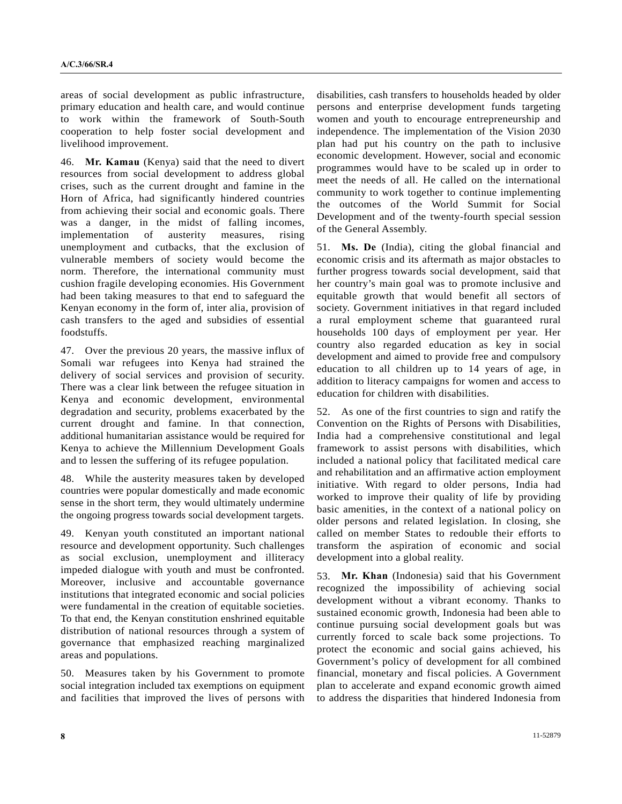areas of social development as public infrastructure, primary education and health care, and would continue to work within the framework of South-South cooperation to help foster social development and livelihood improvement.

46. **Mr. Kamau** (Kenya) said that the need to divert resources from social development to address global crises, such as the current drought and famine in the Horn of Africa, had significantly hindered countries from achieving their social and economic goals. There was a danger, in the midst of falling incomes, implementation of austerity measures, rising unemployment and cutbacks, that the exclusion of vulnerable members of society would become the norm. Therefore, the international community must cushion fragile developing economies. His Government had been taking measures to that end to safeguard the Kenyan economy in the form of, inter alia, provision of cash transfers to the aged and subsidies of essential foodstuffs.

47. Over the previous 20 years, the massive influx of Somali war refugees into Kenya had strained the delivery of social services and provision of security. There was a clear link between the refugee situation in Kenya and economic development, environmental degradation and security, problems exacerbated by the current drought and famine. In that connection, additional humanitarian assistance would be required for Kenya to achieve the Millennium Development Goals and to lessen the suffering of its refugee population.

48. While the austerity measures taken by developed countries were popular domestically and made economic sense in the short term, they would ultimately undermine the ongoing progress towards social development targets.

49. Kenyan youth constituted an important national resource and development opportunity. Such challenges as social exclusion, unemployment and illiteracy impeded dialogue with youth and must be confronted. Moreover, inclusive and accountable governance institutions that integrated economic and social policies were fundamental in the creation of equitable societies. To that end, the Kenyan constitution enshrined equitable distribution of national resources through a system of governance that emphasized reaching marginalized areas and populations.

50. Measures taken by his Government to promote social integration included tax exemptions on equipment and facilities that improved the lives of persons with disabilities, cash transfers to households headed by older persons and enterprise development funds targeting women and youth to encourage entrepreneurship and independence. The implementation of the Vision 2030 plan had put his country on the path to inclusive economic development. However, social and economic programmes would have to be scaled up in order to meet the needs of all. He called on the international community to work together to continue implementing the outcomes of the World Summit for Social Development and of the twenty-fourth special session of the General Assembly.

51. **Ms. De** (India), citing the global financial and economic crisis and its aftermath as major obstacles to further progress towards social development, said that her country's main goal was to promote inclusive and equitable growth that would benefit all sectors of society. Government initiatives in that regard included a rural employment scheme that guaranteed rural households 100 days of employment per year. Her country also regarded education as key in social development and aimed to provide free and compulsory education to all children up to 14 years of age, in addition to literacy campaigns for women and access to education for children with disabilities.

52. As one of the first countries to sign and ratify the Convention on the Rights of Persons with Disabilities, India had a comprehensive constitutional and legal framework to assist persons with disabilities, which included a national policy that facilitated medical care and rehabilitation and an affirmative action employment initiative. With regard to older persons, India had worked to improve their quality of life by providing basic amenities, in the context of a national policy on older persons and related legislation. In closing, she called on member States to redouble their efforts to transform the aspiration of economic and social development into a global reality.

53. **Mr. Khan** (Indonesia) said that his Government recognized the impossibility of achieving social development without a vibrant economy. Thanks to sustained economic growth, Indonesia had been able to continue pursuing social development goals but was currently forced to scale back some projections. To protect the economic and social gains achieved, his Government's policy of development for all combined financial, monetary and fiscal policies. A Government plan to accelerate and expand economic growth aimed to address the disparities that hindered Indonesia from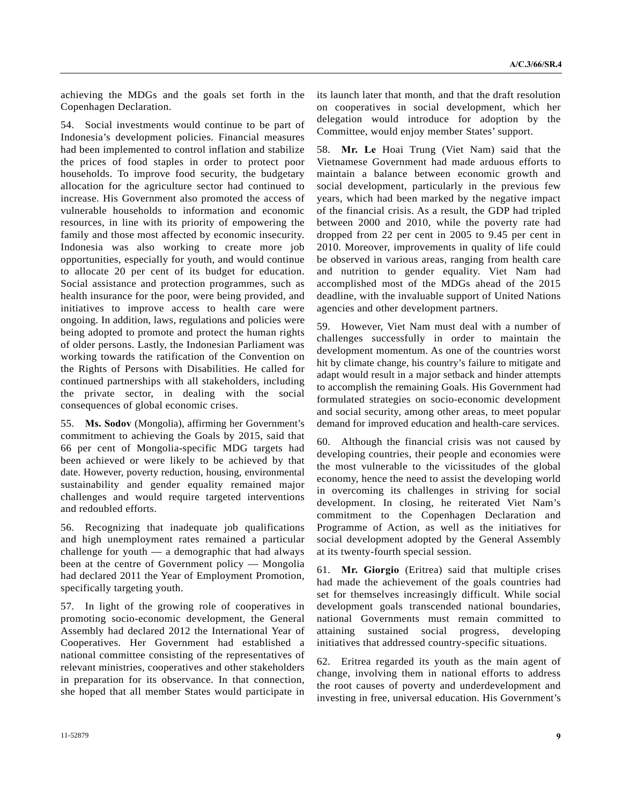achieving the MDGs and the goals set forth in the Copenhagen Declaration.

54. Social investments would continue to be part of Indonesia's development policies. Financial measures had been implemented to control inflation and stabilize the prices of food staples in order to protect poor households. To improve food security, the budgetary allocation for the agriculture sector had continued to increase. His Government also promoted the access of vulnerable households to information and economic resources, in line with its priority of empowering the family and those most affected by economic insecurity. Indonesia was also working to create more job opportunities, especially for youth, and would continue to allocate 20 per cent of its budget for education. Social assistance and protection programmes, such as health insurance for the poor, were being provided, and initiatives to improve access to health care were ongoing. In addition, laws, regulations and policies were being adopted to promote and protect the human rights of older persons. Lastly, the Indonesian Parliament was working towards the ratification of the Convention on the Rights of Persons with Disabilities. He called for continued partnerships with all stakeholders, including the private sector, in dealing with the social consequences of global economic crises.

55. **Ms. Sodov** (Mongolia), affirming her Government's commitment to achieving the Goals by 2015, said that 66 per cent of Mongolia-specific MDG targets had been achieved or were likely to be achieved by that date. However, poverty reduction, housing, environmental sustainability and gender equality remained major challenges and would require targeted interventions and redoubled efforts.

56. Recognizing that inadequate job qualifications and high unemployment rates remained a particular challenge for youth — a demographic that had always been at the centre of Government policy — Mongolia had declared 2011 the Year of Employment Promotion, specifically targeting youth.

57. In light of the growing role of cooperatives in promoting socio-economic development, the General Assembly had declared 2012 the International Year of Cooperatives. Her Government had established a national committee consisting of the representatives of relevant ministries, cooperatives and other stakeholders in preparation for its observance. In that connection, she hoped that all member States would participate in

its launch later that month, and that the draft resolution on cooperatives in social development, which her delegation would introduce for adoption by the Committee, would enjoy member States' support.

58. **Mr. Le** Hoai Trung (Viet Nam) said that the Vietnamese Government had made arduous efforts to maintain a balance between economic growth and social development, particularly in the previous few years, which had been marked by the negative impact of the financial crisis. As a result, the GDP had tripled between 2000 and 2010, while the poverty rate had dropped from 22 per cent in 2005 to 9.45 per cent in 2010. Moreover, improvements in quality of life could be observed in various areas, ranging from health care and nutrition to gender equality. Viet Nam had accomplished most of the MDGs ahead of the 2015 deadline, with the invaluable support of United Nations agencies and other development partners.

59. However, Viet Nam must deal with a number of challenges successfully in order to maintain the development momentum. As one of the countries worst hit by climate change, his country's failure to mitigate and adapt would result in a major setback and hinder attempts to accomplish the remaining Goals. His Government had formulated strategies on socio-economic development and social security, among other areas, to meet popular demand for improved education and health-care services.

60. Although the financial crisis was not caused by developing countries, their people and economies were the most vulnerable to the vicissitudes of the global economy, hence the need to assist the developing world in overcoming its challenges in striving for social development. In closing, he reiterated Viet Nam's commitment to the Copenhagen Declaration and Programme of Action, as well as the initiatives for social development adopted by the General Assembly at its twenty-fourth special session.

61. **Mr. Giorgio** (Eritrea) said that multiple crises had made the achievement of the goals countries had set for themselves increasingly difficult. While social development goals transcended national boundaries, national Governments must remain committed to attaining sustained social progress, developing initiatives that addressed country-specific situations.

62. Eritrea regarded its youth as the main agent of change, involving them in national efforts to address the root causes of poverty and underdevelopment and investing in free, universal education. His Government's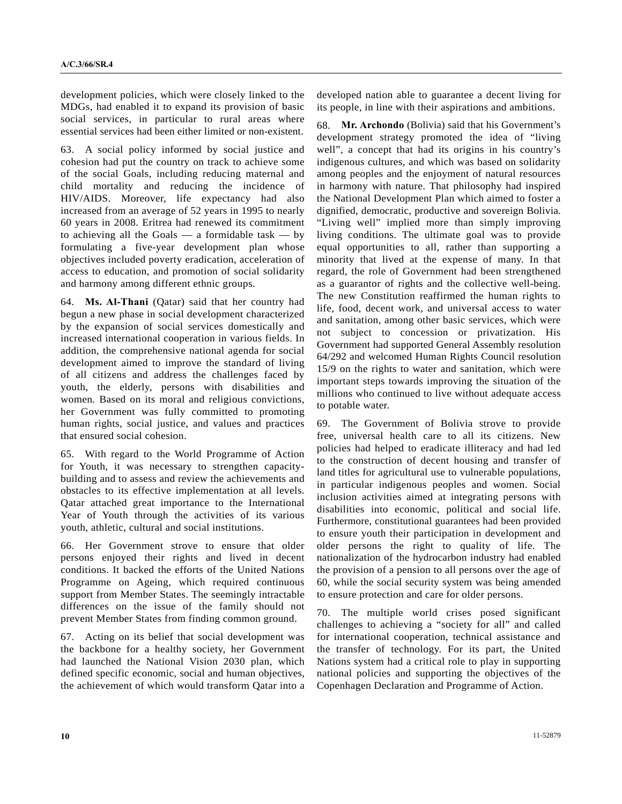development policies, which were closely linked to the MDGs, had enabled it to expand its provision of basic social services, in particular to rural areas where essential services had been either limited or non-existent.

63. A social policy informed by social justice and cohesion had put the country on track to achieve some of the social Goals, including reducing maternal and child mortality and reducing the incidence of HIV/AIDS. Moreover, life expectancy had also increased from an average of 52 years in 1995 to nearly 60 years in 2008. Eritrea had renewed its commitment to achieving all the Goals  $-$  a formidable task  $-$  by formulating a five-year development plan whose objectives included poverty eradication, acceleration of access to education, and promotion of social solidarity and harmony among different ethnic groups.

64. **Ms. Al-Thani** (Qatar) said that her country had begun a new phase in social development characterized by the expansion of social services domestically and increased international cooperation in various fields. In addition, the comprehensive national agenda for social development aimed to improve the standard of living of all citizens and address the challenges faced by youth, the elderly, persons with disabilities and women. Based on its moral and religious convictions, her Government was fully committed to promoting human rights, social justice, and values and practices that ensured social cohesion.

65. With regard to the World Programme of Action for Youth, it was necessary to strengthen capacitybuilding and to assess and review the achievements and obstacles to its effective implementation at all levels. Qatar attached great importance to the International Year of Youth through the activities of its various youth, athletic, cultural and social institutions.

66. Her Government strove to ensure that older persons enjoyed their rights and lived in decent conditions. It backed the efforts of the United Nations Programme on Ageing, which required continuous support from Member States. The seemingly intractable differences on the issue of the family should not prevent Member States from finding common ground.

67. Acting on its belief that social development was the backbone for a healthy society, her Government had launched the National Vision 2030 plan, which defined specific economic, social and human objectives, the achievement of which would transform Qatar into a developed nation able to guarantee a decent living for its people, in line with their aspirations and ambitions.

68. **Mr. Archondo** (Bolivia) said that his Government's development strategy promoted the idea of "living well", a concept that had its origins in his country's indigenous cultures, and which was based on solidarity among peoples and the enjoyment of natural resources in harmony with nature. That philosophy had inspired the National Development Plan which aimed to foster a dignified, democratic, productive and sovereign Bolivia. "Living well" implied more than simply improving living conditions. The ultimate goal was to provide equal opportunities to all, rather than supporting a minority that lived at the expense of many. In that regard, the role of Government had been strengthened as a guarantor of rights and the collective well-being. The new Constitution reaffirmed the human rights to life, food, decent work, and universal access to water and sanitation, among other basic services, which were not subject to concession or privatization. His Government had supported General Assembly resolution 64/292 and welcomed Human Rights Council resolution 15/9 on the rights to water and sanitation, which were important steps towards improving the situation of the millions who continued to live without adequate access to potable water.

69. The Government of Bolivia strove to provide free, universal health care to all its citizens. New policies had helped to eradicate illiteracy and had led to the construction of decent housing and transfer of land titles for agricultural use to vulnerable populations, in particular indigenous peoples and women. Social inclusion activities aimed at integrating persons with disabilities into economic, political and social life. Furthermore, constitutional guarantees had been provided to ensure youth their participation in development and older persons the right to quality of life. The nationalization of the hydrocarbon industry had enabled the provision of a pension to all persons over the age of 60, while the social security system was being amended to ensure protection and care for older persons.

70. The multiple world crises posed significant challenges to achieving a "society for all" and called for international cooperation, technical assistance and the transfer of technology. For its part, the United Nations system had a critical role to play in supporting national policies and supporting the objectives of the Copenhagen Declaration and Programme of Action.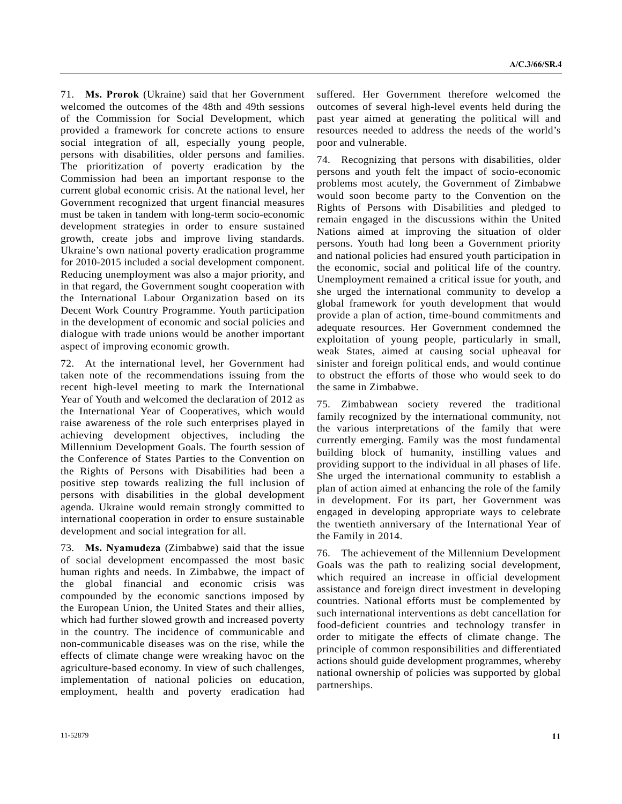71. **Ms. Prorok** (Ukraine) said that her Government welcomed the outcomes of the 48th and 49th sessions of the Commission for Social Development, which provided a framework for concrete actions to ensure social integration of all, especially young people, persons with disabilities, older persons and families. The prioritization of poverty eradication by the Commission had been an important response to the current global economic crisis. At the national level, her Government recognized that urgent financial measures must be taken in tandem with long-term socio-economic development strategies in order to ensure sustained growth, create jobs and improve living standards. Ukraine's own national poverty eradication programme for 2010-2015 included a social development component. Reducing unemployment was also a major priority, and in that regard, the Government sought cooperation with the International Labour Organization based on its Decent Work Country Programme. Youth participation in the development of economic and social policies and dialogue with trade unions would be another important aspect of improving economic growth.

72. At the international level, her Government had taken note of the recommendations issuing from the recent high-level meeting to mark the International Year of Youth and welcomed the declaration of 2012 as the International Year of Cooperatives, which would raise awareness of the role such enterprises played in achieving development objectives, including the Millennium Development Goals. The fourth session of the Conference of States Parties to the Convention on the Rights of Persons with Disabilities had been a positive step towards realizing the full inclusion of persons with disabilities in the global development agenda. Ukraine would remain strongly committed to international cooperation in order to ensure sustainable development and social integration for all.

73. **Ms. Nyamudeza** (Zimbabwe) said that the issue of social development encompassed the most basic human rights and needs. In Zimbabwe, the impact of the global financial and economic crisis was compounded by the economic sanctions imposed by the European Union, the United States and their allies, which had further slowed growth and increased poverty in the country. The incidence of communicable and non-communicable diseases was on the rise, while the effects of climate change were wreaking havoc on the agriculture-based economy. In view of such challenges, implementation of national policies on education, employment, health and poverty eradication had

suffered. Her Government therefore welcomed the outcomes of several high-level events held during the past year aimed at generating the political will and resources needed to address the needs of the world's poor and vulnerable.

74. Recognizing that persons with disabilities, older persons and youth felt the impact of socio-economic problems most acutely, the Government of Zimbabwe would soon become party to the Convention on the Rights of Persons with Disabilities and pledged to remain engaged in the discussions within the United Nations aimed at improving the situation of older persons. Youth had long been a Government priority and national policies had ensured youth participation in the economic, social and political life of the country. Unemployment remained a critical issue for youth, and she urged the international community to develop a global framework for youth development that would provide a plan of action, time-bound commitments and adequate resources. Her Government condemned the exploitation of young people, particularly in small, weak States, aimed at causing social upheaval for sinister and foreign political ends, and would continue to obstruct the efforts of those who would seek to do the same in Zimbabwe.

75. Zimbabwean society revered the traditional family recognized by the international community, not the various interpretations of the family that were currently emerging. Family was the most fundamental building block of humanity, instilling values and providing support to the individual in all phases of life. She urged the international community to establish a plan of action aimed at enhancing the role of the family in development. For its part, her Government was engaged in developing appropriate ways to celebrate the twentieth anniversary of the International Year of the Family in 2014.

76. The achievement of the Millennium Development Goals was the path to realizing social development, which required an increase in official development assistance and foreign direct investment in developing countries. National efforts must be complemented by such international interventions as debt cancellation for food-deficient countries and technology transfer in order to mitigate the effects of climate change. The principle of common responsibilities and differentiated actions should guide development programmes, whereby national ownership of policies was supported by global partnerships.